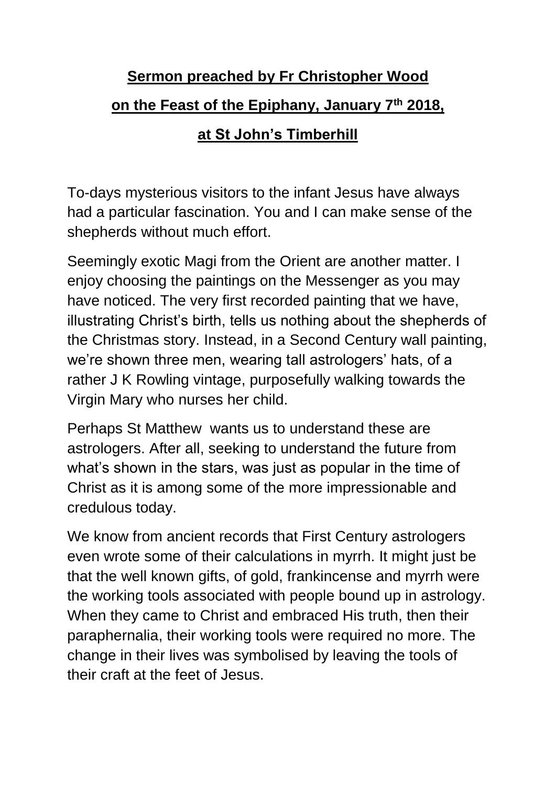## **Sermon preached by Fr Christopher Wood on the Feast of the Epiphany, January 7th 2018, at St John's Timberhill**

To-days mysterious visitors to the infant Jesus have always had a particular fascination. You and I can make sense of the shepherds without much effort.

Seemingly exotic Magi from the Orient are another matter. I enjoy choosing the paintings on the Messenger as you may have noticed. The very first recorded painting that we have, illustrating Christ's birth, tells us nothing about the shepherds of the Christmas story. Instead, in a Second Century wall painting, we're shown three men, wearing tall astrologers' hats, of a rather J K Rowling vintage, purposefully walking towards the Virgin Mary who nurses her child.

Perhaps St Matthew wants us to understand these are astrologers. After all, seeking to understand the future from what's shown in the stars, was just as popular in the time of Christ as it is among some of the more impressionable and credulous today.

We know from ancient records that First Century astrologers even wrote some of their calculations in myrrh. It might just be that the well known gifts, of gold, frankincense and myrrh were the working tools associated with people bound up in astrology. When they came to Christ and embraced His truth, then their paraphernalia, their working tools were required no more. The change in their lives was symbolised by leaving the tools of their craft at the feet of Jesus.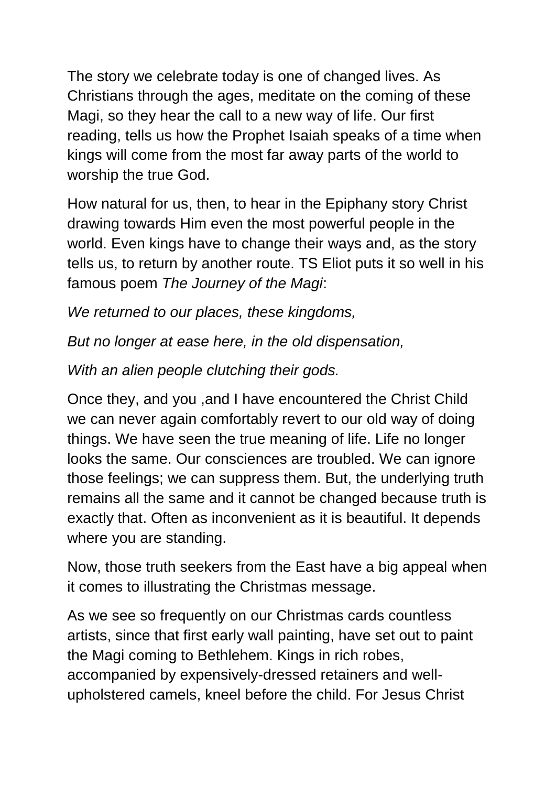The story we celebrate today is one of changed lives. As Christians through the ages, meditate on the coming of these Magi, so they hear the call to a new way of life. Our first reading, tells us how the Prophet Isaiah speaks of a time when kings will come from the most far away parts of the world to worship the true God.

How natural for us, then, to hear in the Epiphany story Christ drawing towards Him even the most powerful people in the world. Even kings have to change their ways and, as the story tells us, to return by another route. TS Eliot puts it so well in his famous poem *The Journey of the Magi*:

*We returned to our places, these kingdoms,*

*But no longer at ease here, in the old dispensation,*

*With an alien people clutching their gods.*

Once they, and you ,and I have encountered the Christ Child we can never again comfortably revert to our old way of doing things. We have seen the true meaning of life. Life no longer looks the same. Our consciences are troubled. We can ignore those feelings; we can suppress them. But, the underlying truth remains all the same and it cannot be changed because truth is exactly that. Often as inconvenient as it is beautiful. It depends where you are standing.

Now, those truth seekers from the East have a big appeal when it comes to illustrating the Christmas message.

As we see so frequently on our Christmas cards countless artists, since that first early wall painting, have set out to paint the Magi coming to Bethlehem. Kings in rich robes, accompanied by expensively-dressed retainers and wellupholstered camels, kneel before the child. For Jesus Christ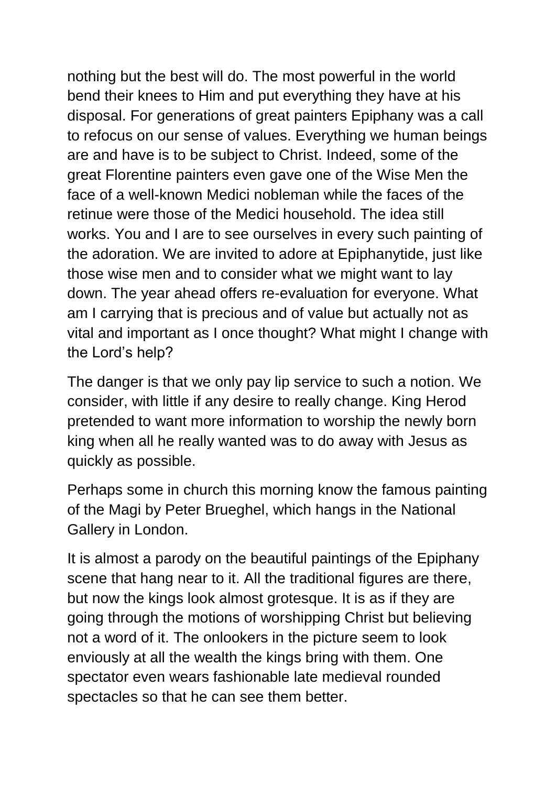nothing but the best will do. The most powerful in the world bend their knees to Him and put everything they have at his disposal. For generations of great painters Epiphany was a call to refocus on our sense of values. Everything we human beings are and have is to be subject to Christ. Indeed, some of the great Florentine painters even gave one of the Wise Men the face of a well-known Medici nobleman while the faces of the retinue were those of the Medici household. The idea still works. You and I are to see ourselves in every such painting of the adoration. We are invited to adore at Epiphanytide, just like those wise men and to consider what we might want to lay down. The year ahead offers re-evaluation for everyone. What am I carrying that is precious and of value but actually not as vital and important as I once thought? What might I change with the Lord's help?

The danger is that we only pay lip service to such a notion. We consider, with little if any desire to really change. King Herod pretended to want more information to worship the newly born king when all he really wanted was to do away with Jesus as quickly as possible.

Perhaps some in church this morning know the famous painting of the Magi by Peter Brueghel, which hangs in the National Gallery in London.

It is almost a parody on the beautiful paintings of the Epiphany scene that hang near to it. All the traditional figures are there, but now the kings look almost grotesque. It is as if they are going through the motions of worshipping Christ but believing not a word of it. The onlookers in the picture seem to look enviously at all the wealth the kings bring with them. One spectator even wears fashionable late medieval rounded spectacles so that he can see them better.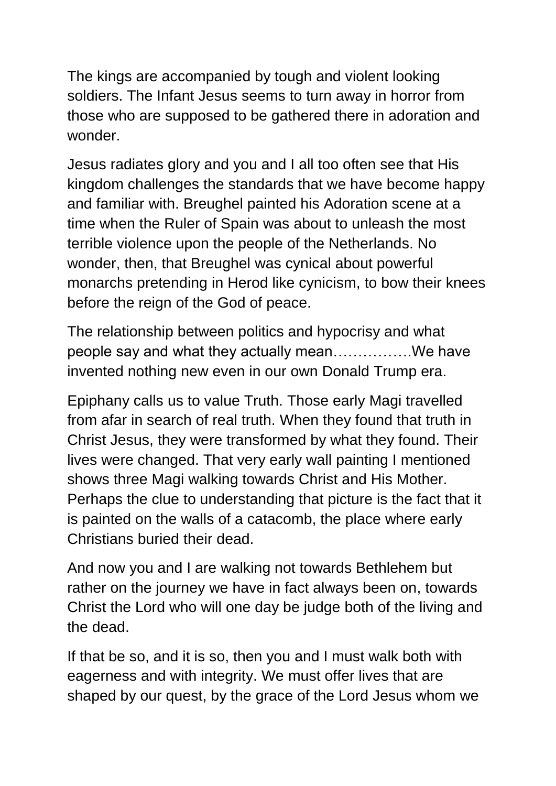The kings are accompanied by tough and violent looking soldiers. The Infant Jesus seems to turn away in horror from those who are supposed to be gathered there in adoration and wonder.

Jesus radiates glory and you and I all too often see that His kingdom challenges the standards that we have become happy and familiar with. Breughel painted his Adoration scene at a time when the Ruler of Spain was about to unleash the most terrible violence upon the people of the Netherlands. No wonder, then, that Breughel was cynical about powerful monarchs pretending in Herod like cynicism, to bow their knees before the reign of the God of peace.

The relationship between politics and hypocrisy and what people say and what they actually mean…………….We have invented nothing new even in our own Donald Trump era.

Epiphany calls us to value Truth. Those early Magi travelled from afar in search of real truth. When they found that truth in Christ Jesus, they were transformed by what they found. Their lives were changed. That very early wall painting I mentioned shows three Magi walking towards Christ and His Mother. Perhaps the clue to understanding that picture is the fact that it is painted on the walls of a catacomb, the place where early Christians buried their dead.

And now you and I are walking not towards Bethlehem but rather on the journey we have in fact always been on, towards Christ the Lord who will one day be judge both of the living and the dead.

If that be so, and it is so, then you and I must walk both with eagerness and with integrity. We must offer lives that are shaped by our quest, by the grace of the Lord Jesus whom we